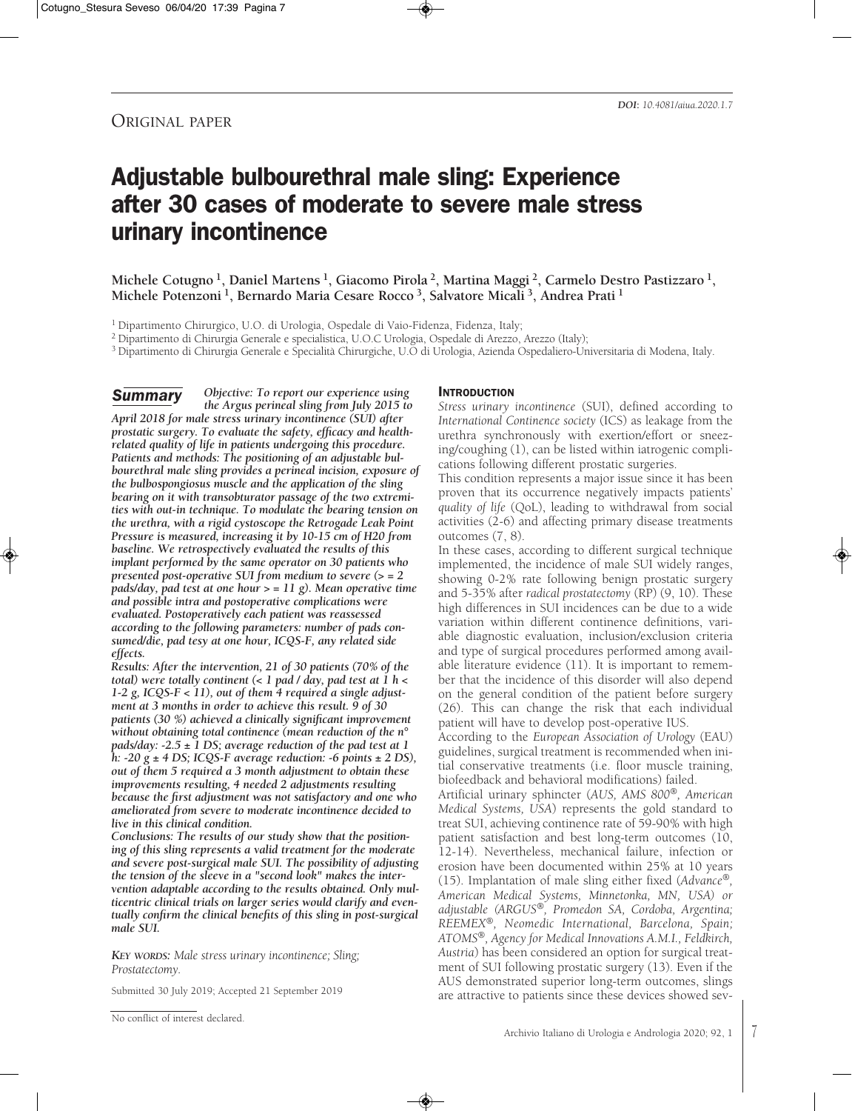## ORIGINAL PAPER

# Adjustable bulbourethral male sling: Experience after 30 cases of moderate to severe male stress urinary incontinence

**Michele Cotugno 1, Daniel Martens 1, Giacomo Pirola 2, Martina Maggi 2, Carmelo Destro Pastizzaro 1, Michele Potenzoni 1, Bernardo Maria Cesare Rocco 3, Salvatore Micali 3, Andrea Prati <sup>1</sup>**

<sup>1</sup> Dipartimento Chirurgico, U.O. di Urologia, Ospedale di Vaio-Fidenza, Fidenza, Italy;

<sup>2</sup> Dipartimento di Chirurgia Generale e specialistica, U.O.C Urologia, Ospedale di Arezzo, Arezzo (Italy);

<sup>3</sup> Dipartimento di Chirurgia Generale e Specialità Chirurgiche, U.O di Urologia, Azienda Ospedaliero-Universitaria di Modena, Italy.

*Objective: To report our experience using the Argus perineal sling from July 2015 to April 2018 for male stress urinary incontinence (SUI) after prostatic surgery. To evaluate the safety, efficacy and healthrelated quality of life in patients undergoing this procedure. Patients and methods: The positioning of an adjustable bulbourethral male sling provides a perineal incision, exposure of the bulbospongiosus muscle and the application of the sling bearing on it with transobturator passage of the two extremities with out-in technique. To modulate the bearing tension on the urethra, with a rigid cystoscope the Retrogade Leak Point Pressure is measured, increasing it by 10-15 cm of H20 from baseline. We retrospectively evaluated the results of this implant performed by the same operator on 30 patients who presented post-operative SUI from medium to severe (> = 2 pads/day, pad test at one hour > = 11 g). Mean operative time and possible intra and postoperative complications were evaluated. Postoperatively each patient was reassessed according to the following parameters: number of pads consumed/die, pad tesy at one hour, ICQS-F, any related side effects.* **Summary** 

*Results: After the intervention, 21 of 30 patients (70% of the total) were totally continent (< 1 pad / day, pad test at 1 h < 1-2 g, ICQS-F < 11), out of them 4 required a single adjustment at 3 months in order to achieve this result. 9 of 30 patients (30 %) achieved a clinically significant improvement without obtaining total continence (mean reduction of the n° pads/day: -2.5 ± 1 DS; average reduction of the pad test at 1 h: -20 g ± 4 DS; ICQS-F average reduction: -6 points ± 2 DS), out of them 5 required a 3 month adjustment to obtain these improvements resulting, 4 needed 2 adjustments resulting because the first adjustment was not satisfactory and one who ameliorated from severe to moderate incontinence decided to live in this clinical condition.*

*Conclusions: The results of our study show that the positioning of this sling represents a valid treatment for the moderate and severe post-surgical male SUI. The possibility of adjusting the tension of the sleeve in a "second look" makes the intervention adaptable according to the results obtained. Only multicentric clinical trials on larger series would clarify and eventually confirm the clinical benefits of this sling in post-surgical male SUI.*

*KEY WORDS: Male stress urinary incontinence; Sling; Prostatectomy.*

Submitted 30 July 2019; Accepted 21 September 2019

#### **INTRODUCTION**

*Stress urinary incontinence* (SUI), defined according to *International Continence society* (ICS) as leakage from the urethra synchronously with exertion/effort or sneezing/coughing (1), can be listed within iatrogenic complications following different prostatic surgeries.

This condition represents a major issue since it has been proven that its occurrence negatively impacts patients' *quality of life* (QoL), leading to withdrawal from social activities (2-6) and affecting primary disease treatments outcomes (7, 8).

In these cases, according to different surgical technique implemented, the incidence of male SUI widely ranges, showing 0-2% rate following benign prostatic surgery and 5-35% after *radical prostatectomy* (RP) (9, 10). These high differences in SUI incidences can be due to a wide variation within different continence definitions, variable diagnostic evaluation, inclusion/exclusion criteria and type of surgical procedures performed among available literature evidence (11). It is important to remember that the incidence of this disorder will also depend on the general condition of the patient before surgery (26). This can change the risk that each individual patient will have to develop post-operative IUS.

According to the *European Association of Urology* (EAU) guidelines, surgical treatment is recommended when initial conservative treatments (i.e. floor muscle training, biofeedback and behavioral modifications) failed.

Artificial urinary sphincter (*AUS, AMS 800®, American Medical Systems, USA*) represents the gold standard to treat SUI, achieving continence rate of 59-90% with high patient satisfaction and best long-term outcomes (10, 12-14). Nevertheless, mechanical failure, infection or erosion have been documented within 25% at 10 years (15). Implantation of male sling either fixed (*Advance®, American Medical Systems, Minnetonka, MN, USA) or adjustable (ARGUS®, Promedon SA, Cordoba, Argentina; REEMEX®, Neomedic International, Barcelona, Spain; ATOMS®, Agency for Medical Innovations A.M.I., Feldkirch, Austria*) has been considered an option for surgical treatment of SUI following prostatic surgery (13). Even if the AUS demonstrated superior long-term outcomes, slings are attractive to patients since these devices showed sev-

No conflict of interest declared.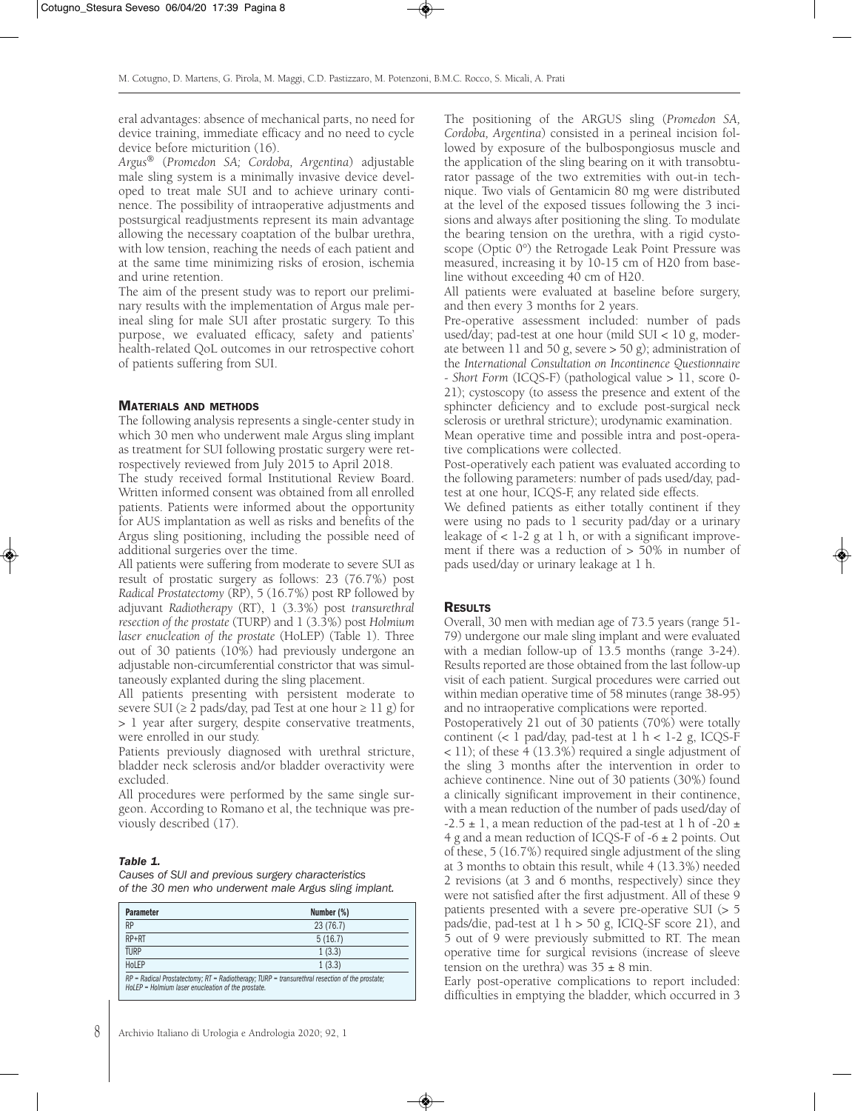eral advantages: absence of mechanical parts, no need for device training, immediate efficacy and no need to cycle device before micturition (16).

*Argus®* (*Promedon SA; Cordoba, Argentina*) adjustable male sling system is a minimally invasive device developed to treat male SUI and to achieve urinary continence. The possibility of intraoperative adjustments and postsurgical readjustments represent its main advantage allowing the necessary coaptation of the bulbar urethra, with low tension, reaching the needs of each patient and at the same time minimizing risks of erosion, ischemia and urine retention.

The aim of the present study was to report our preliminary results with the implementation of Argus male perineal sling for male SUI after prostatic surgery. To this purpose, we evaluated efficacy, safety and patients' health-related QoL outcomes in our retrospective cohort of patients suffering from SUI.

#### MATERIALS AND METHODS

The following analysis represents a single-center study in which 30 men who underwent male Argus sling implant as treatment for SUI following prostatic surgery were retrospectively reviewed from July 2015 to April 2018.

The study received formal Institutional Review Board. Written informed consent was obtained from all enrolled patients. Patients were informed about the opportunity for AUS implantation as well as risks and benefits of the Argus sling positioning, including the possible need of additional surgeries over the time.

All patients were suffering from moderate to severe SUI as result of prostatic surgery as follows: 23 (76.7%) post *Radical Prostatectomy* (RP), 5 (16.7%) post RP followed by adjuvant *Radiotherapy* (RT), 1 (3.3%) post *transurethral resection of the prostate* (TURP) and 1 (3.3%) post *Holmium laser enucleation of the prostate* (HoLEP) (Table 1). Three out of 30 patients (10%) had previously undergone an adjustable non-circumferential constrictor that was simultaneously explanted during the sling placement.

All patients presenting with persistent moderate to severe SUI ( $\geq 2$  pads/day, pad Test at one hour  $\geq 11$  g) for > 1 year after surgery, despite conservative treatments, were enrolled in our study.

Patients previously diagnosed with urethral stricture, bladder neck sclerosis and/or bladder overactivity were excluded.

All procedures were performed by the same single surgeon. According to Romano et al, the technique was previously described (17).

#### Table 1.

8

Causes of SUI and previous surgery characteristics of the 30 men who underwent male Argus sling implant.

| <b>Parameter</b>                                                                                                                                                                  | Number (%) |
|-----------------------------------------------------------------------------------------------------------------------------------------------------------------------------------|------------|
| <b>RP</b>                                                                                                                                                                         | 23 (76.7)  |
| $RP + RT$                                                                                                                                                                         | 5(16.7)    |
| <b>TURP</b>                                                                                                                                                                       | 1(3.3)     |
| HoLEP                                                                                                                                                                             | 1(3.3)     |
| $RP = \text{Radical Prostatectomy: } RT = \text{Radiotheray: } T \cup RP = \text{transurethral resection of the prostate:}$<br>HoLEP = Holmium laser enucleation of the prostate. |            |

The positioning of the ARGUS sling (*Promedon SA, Cordoba, Argentina*) consisted in a perineal incision followed by exposure of the bulbospongiosus muscle and the application of the sling bearing on it with transobturator passage of the two extremities with out-in technique. Two vials of Gentamicin 80 mg were distributed at the level of the exposed tissues following the 3 incisions and always after positioning the sling. To modulate the bearing tension on the urethra, with a rigid cystoscope (Optic 0°) the Retrogade Leak Point Pressure was measured, increasing it by 10-15 cm of H20 from baseline without exceeding 40 cm of H20.

All patients were evaluated at baseline before surgery, and then every 3 months for 2 years.

Pre-operative assessment included: number of pads used/day; pad-test at one hour (mild SUI < 10 g, moderate between 11 and 50 g, severe > 50 g); administration of the *International Consultation on Incontinence Questionnaire - Short Form* (ICQS-F) (pathological value > 11, score 0- 21); cystoscopy (to assess the presence and extent of the sphincter deficiency and to exclude post-surgical neck sclerosis or urethral stricture); urodynamic examination.

Mean operative time and possible intra and post-operative complications were collected.

Post-operatively each patient was evaluated according to the following parameters: number of pads used/day, padtest at one hour, ICQS-F, any related side effects.

We defined patients as either totally continent if they were using no pads to 1 security pad/day or a urinary leakage of  $< 1-2$  g at 1 h, or with a significant improvement if there was a reduction of > 50% in number of pads used/day or urinary leakage at 1 h.

#### **RESULTS**

Overall, 30 men with median age of 73.5 years (range 51- 79) undergone our male sling implant and were evaluated with a median follow-up of 13.5 months (range 3-24). Results reported are those obtained from the last follow-up visit of each patient. Surgical procedures were carried out within median operative time of 58 minutes (range 38-95) and no intraoperative complications were reported.

Postoperatively 21 out of 30 patients (70%) were totally continent  $(< 1$  pad/day, pad-test at  $1 h < 1-2 g$ , ICQS-F < 11); of these 4 (13.3%) required a single adjustment of the sling 3 months after the intervention in order to achieve continence. Nine out of 30 patients (30%) found a clinically significant improvement in their continence, with a mean reduction of the number of pads used/day of  $-2.5 \pm 1$ , a mean reduction of the pad-test at 1 h of  $-20 \pm 1$ 4 g and a mean reduction of ICQS-F of -6  $\pm$  2 points. Out of these, 5 (16.7%) required single adjustment of the sling at 3 months to obtain this result, while 4 (13.3%) needed 2 revisions (at 3 and 6 months, respectively) since they were not satisfied after the first adjustment. All of these 9 patients presented with a severe pre-operative SUI (> 5 pads/die, pad-test at  $1 h > 50 g$ , ICIQ-SF score 21), and 5 out of 9 were previously submitted to RT. The mean operative time for surgical revisions (increase of sleeve tension on the urethra) was  $35 \pm 8$  min.

Early post-operative complications to report included: difficulties in emptying the bladder, which occurred in 3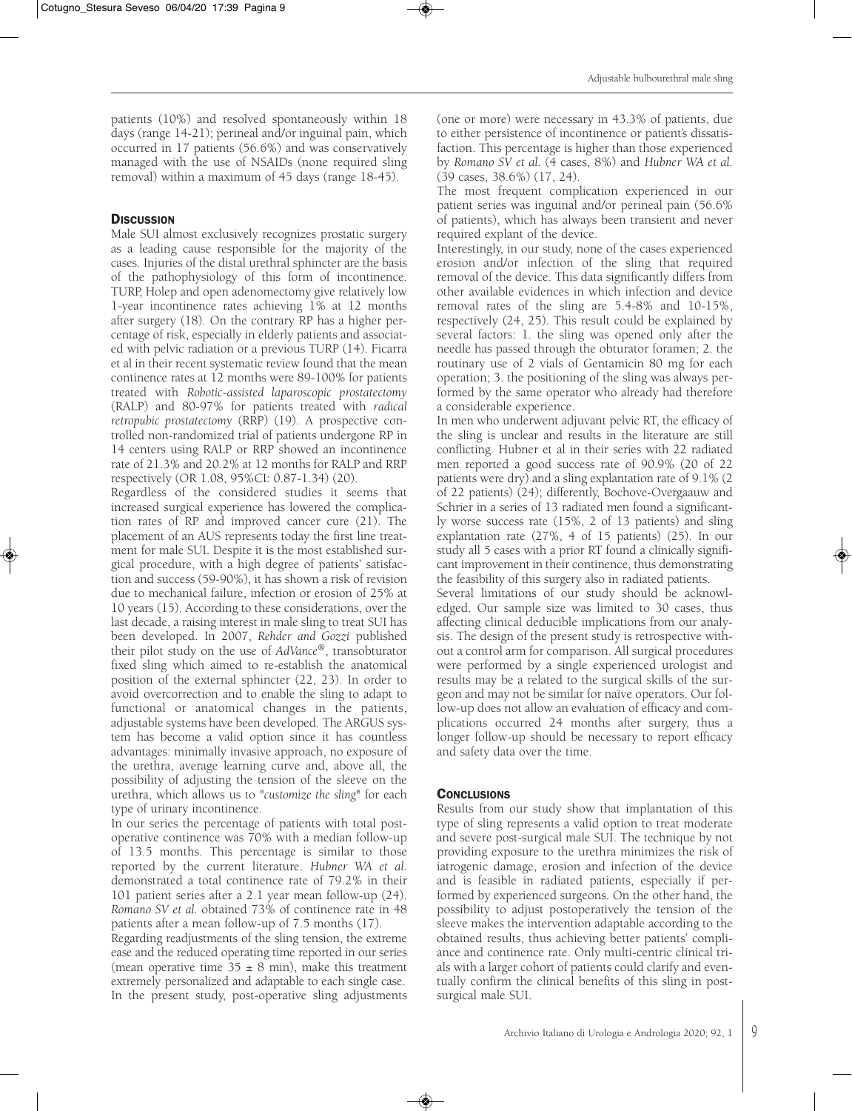patients (10%) and resolved spontaneously within 18 days (range 14-21); perineal and/or inguinal pain, which occurred in 17 patients (56.6%) and was conservatively managed with the use of NSAIDs (none required sling removal) within a maximum of 45 days (range 18-45).

## **DISCUSSION**

Male SUI almost exclusively recognizes prostatic surgery as a leading cause responsible for the majority of the cases. Injuries of the distal urethral sphincter are the basis of the pathophysiology of this form of incontinence. TURP, Holep and open adenomectomy give relatively low 1-year incontinence rates achieving 1% at 12 months after surgery (18). On the contrary RP has a higher percentage of risk, especially in elderly patients and associated with pelvic radiation or a previous TURP (14). Ficarra et al in their recent systematic review found that the mean continence rates at 12 months were 89-100% for patients treated with *Robotic-assisted laparoscopic prostatectomy* (RALP) and 80-97% for patients treated with *radical retropubic prostatectomy* (RRP) (19). A prospective controlled non-randomized trial of patients undergone RP in 14 centers using RALP or RRP showed an incontinence rate of 21.3% and 20.2% at 12 months for RALP and RRP respectively (OR 1.08, 95%CI: 0.87-1.34) (20).

Regardless of the considered studies it seems that increased surgical experience has lowered the complication rates of RP and improved cancer cure (21). The placement of an AUS represents today the first line treatment for male SUI. Despite it is the most established surgical procedure, with a high degree of patients' satisfaction and success (59-90%), it has shown a risk of revision due to mechanical failure, infection or erosion of 25% at 10 years (15). According to these considerations, over the last decade, a raising interest in male sling to treat SUI has been developed. In 2007, *Rehder and Gozzi* published their pilot study on the use of *AdVance®*, transobturator fixed sling which aimed to re-establish the anatomical position of the external sphincter (22, 23). In order to avoid overcorrection and to enable the sling to adapt to functional or anatomical changes in the patients, adjustable systems have been developed. The ARGUS system has become a valid option since it has countless advantages: minimally invasive approach, no exposure of the urethra, average learning curve and, above all, the possibility of adjusting the tension of the sleeve on the urethra, which allows us to "*customize the sling*" for each type of urinary incontinence.

In our series the percentage of patients with total postoperative continence was 70% with a median follow-up of 13.5 months. This percentage is similar to those reported by the current literature. *Hubner WA et al.* demonstrated a total continence rate of 79.2% in their 101 patient series after a 2.1 year mean follow-up (24). *Romano SV et al.* obtained 73% of continence rate in 48 patients after a mean follow-up of 7.5 months (17).

Regarding readjustments of the sling tension, the extreme ease and the reduced operating time reported in our series (mean operative time  $35 \pm 8$  min), make this treatment extremely personalized and adaptable to each single case. In the present study, post-operative sling adjustments (one or more) were necessary in 43.3% of patients, due to either persistence of incontinence or patient's dissatisfaction. This percentage is higher than those experienced by *Romano SV et al.* (4 cases, 8%) and *Hubner WA et al.* (39 cases, 38.6%) (17, 24).

The most frequent complication experienced in our patient series was inguinal and/or perineal pain (56.6% of patients), which has always been transient and never required explant of the device.

Interestingly, in our study, none of the cases experienced erosion and/or infection of the sling that required removal of the device. This data significantly differs from other available evidences in which infection and device removal rates of the sling are 5.4-8% and 10-15%, respectively (24, 25). This result could be explained by several factors: 1. the sling was opened only after the needle has passed through the obturator foramen; 2. the routinary use of 2 vials of Gentamicin 80 mg for each operation; 3. the positioning of the sling was always performed by the same operator who already had therefore a considerable experience.

In men who underwent adjuvant pelvic RT, the efficacy of the sling is unclear and results in the literature are still conflicting. Hubner et al in their series with 22 radiated men reported a good success rate of 90.9% (20 of 22 patients were dry) and a sling explantation rate of 9.1% (2 of 22 patients) (24); differently, Bochove-Overgaauw and Schrier in a series of 13 radiated men found a significantly worse success rate (15%, 2 of 13 patients) and sling explantation rate (27%, 4 of 15 patients) (25). In our study all 5 cases with a prior RT found a clinically significant improvement in their continence, thus demonstrating the feasibility of this surgery also in radiated patients.

Several limitations of our study should be acknowledged. Our sample size was limited to 30 cases, thus affecting clinical deducible implications from our analysis. The design of the present study is retrospective without a control arm for comparison. All surgical procedures were performed by a single experienced urologist and results may be a related to the surgical skills of the surgeon and may not be similar for naïve operators. Our follow-up does not allow an evaluation of efficacy and complications occurred 24 months after surgery, thus a longer follow-up should be necessary to report efficacy and safety data over the time.

## **CONCLUSIONS**

Results from our study show that implantation of this type of sling represents a valid option to treat moderate and severe post-surgical male SUI. The technique by not providing exposure to the urethra minimizes the risk of iatrogenic damage, erosion and infection of the device and is feasible in radiated patients, especially if performed by experienced surgeons. On the other hand, the possibility to adjust postoperatively the tension of the sleeve makes the intervention adaptable according to the obtained results, thus achieving better patients' compliance and continence rate. Only multi-centric clinical trials with a larger cohort of patients could clarify and eventually confirm the clinical benefits of this sling in postsurgical male SUI.